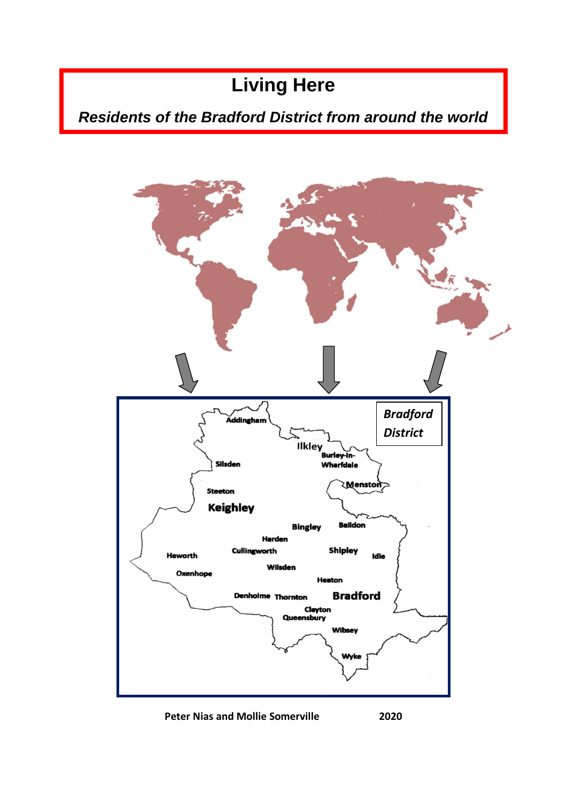# **Living Here**

# *Residents of the Bradford District from around the world*



**Peter Nias and Mollie Somerville 2020**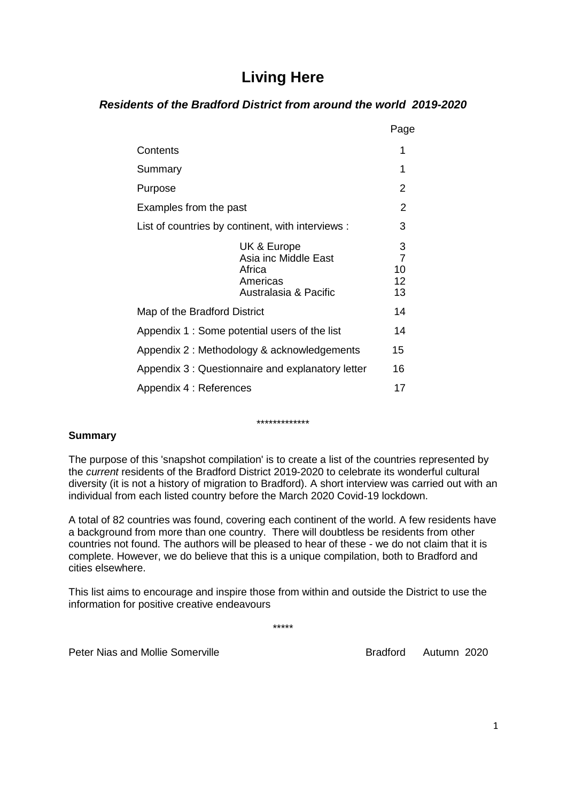# **Living Here**

# *Residents of the Bradford District from around the world 2019-2020*

|                                                                                    | Page                                  |
|------------------------------------------------------------------------------------|---------------------------------------|
| Contents                                                                           | 1                                     |
| Summary                                                                            | 1                                     |
| Purpose                                                                            | 2                                     |
| Examples from the past                                                             | 2                                     |
| List of countries by continent, with interviews :                                  | 3                                     |
| UK & Europe<br>Asia inc Middle East<br>Africa<br>Americas<br>Australasia & Pacific | 3<br>$\overline{7}$<br>10<br>12<br>13 |
| Map of the Bradford District                                                       | 14                                    |
| Appendix 1: Some potential users of the list                                       | 14                                    |
| Appendix 2: Methodology & acknowledgements                                         | 15                                    |
| Appendix 3: Questionnaire and explanatory letter                                   | 16                                    |
| Appendix 4 : References                                                            | 17                                    |

#### \*\*\*\*\*\*\*\*\*\*\*\*\*

# **Summary**

The purpose of this 'snapshot compilation' is to create a list of the countries represented by the *current* residents of the Bradford District 2019-2020 to celebrate its wonderful cultural diversity (it is not a history of migration to Bradford). A short interview was carried out with an individual from each listed country before the March 2020 Covid-19 lockdown.

A total of 82 countries was found, covering each continent of the world. A few residents have a background from more than one country. There will doubtless be residents from other countries not found. The authors will be pleased to hear of these - we do not claim that it is complete. However, we do believe that this is a unique compilation, both to Bradford and cities elsewhere.

This list aims to encourage and inspire those from within and outside the District to use the information for positive creative endeavours

\*\*\*\*\*

Peter Nias and Mollie Somerville **Bradford** Bradford Autumn 2020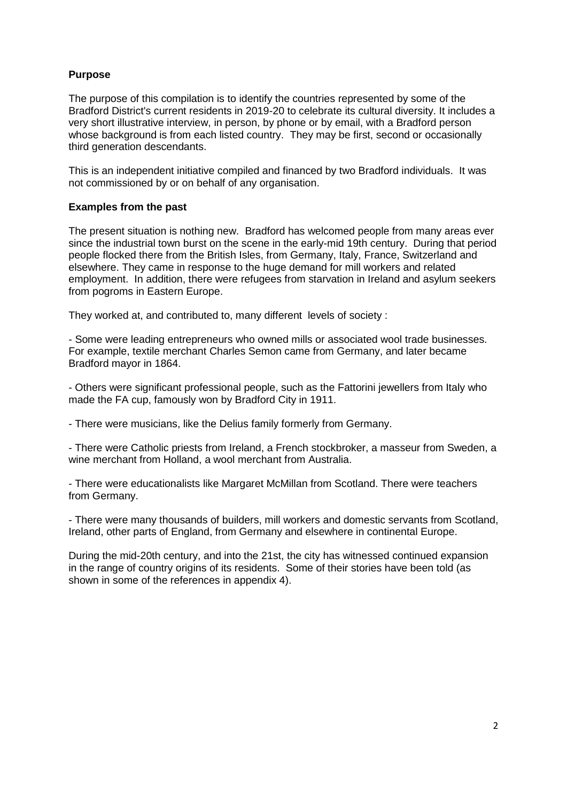# **Purpose**

The purpose of this compilation is to identify the countries represented by some of the Bradford District's current residents in 2019-20 to celebrate its cultural diversity. It includes a very short illustrative interview, in person, by phone or by email, with a Bradford person whose background is from each listed country. They may be first, second or occasionally third generation descendants.

This is an independent initiative compiled and financed by two Bradford individuals. It was not commissioned by or on behalf of any organisation.

# **Examples from the past**

The present situation is nothing new. Bradford has welcomed people from many areas ever since the industrial town burst on the scene in the early-mid 19th century. During that period people flocked there from the British Isles, from Germany, Italy, France, Switzerland and elsewhere. They came in response to the huge demand for mill workers and related employment. In addition, there were refugees from starvation in Ireland and asylum seekers from pogroms in Eastern Europe.

They worked at, and contributed to, many different levels of society :

- Some were leading entrepreneurs who owned mills or associated wool trade businesses. For example, textile merchant Charles Semon came from Germany, and later became Bradford mayor in 1864.

- Others were significant professional people, such as the Fattorini jewellers from Italy who made the FA cup, famously won by Bradford City in 1911.

- There were musicians, like the Delius family formerly from Germany.

- There were Catholic priests from Ireland, a French stockbroker, a masseur from Sweden, a wine merchant from Holland, a wool merchant from Australia.

- There were educationalists like Margaret McMillan from Scotland. There were teachers from Germany.

- There were many thousands of builders, mill workers and domestic servants from Scotland, Ireland, other parts of England, from Germany and elsewhere in continental Europe.

During the mid-20th century, and into the 21st, the city has witnessed continued expansion in the range of country origins of its residents. Some of their stories have been told (as shown in some of the references in appendix 4).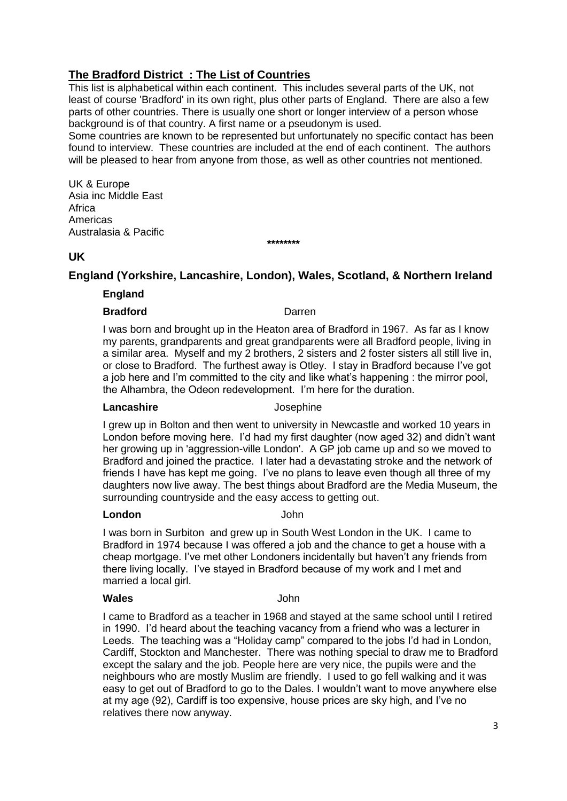# **The Bradford District : The List of Countries**

This list is alphabetical within each continent. This includes several parts of the UK, not least of course 'Bradford' in its own right, plus other parts of England. There are also a few parts of other countries. There is usually one short or longer interview of a person whose background is of that country. A first name or a pseudonym is used.

Some countries are known to be represented but unfortunately no specific contact has been found to interview. These countries are included at the end of each continent. The authors will be pleased to hear from anyone from those, as well as other countries not mentioned.

UK & Europe Asia inc Middle East Africa Americas Australasia & Pacific

# **UK**

# **England (Yorkshire, Lancashire, London), Wales, Scotland, & Northern Ireland**

**\*\*\*\*\*\*\*\***

# **England**

### **Bradford Darren**

I was born and brought up in the Heaton area of Bradford in 1967. As far as I know my parents, grandparents and great grandparents were all Bradford people, living in a similar area. Myself and my 2 brothers, 2 sisters and 2 foster sisters all still live in, or close to Bradford. The furthest away is Otley. I stay in Bradford because I've got a job here and I'm committed to the city and like what's happening : the mirror pool, the Alhambra, the Odeon redevelopment. I'm here for the duration.

### **Lancashire** Josephine

I grew up in Bolton and then went to university in Newcastle and worked 10 years in London before moving here. I'd had my first daughter (now aged 32) and didn't want her growing up in 'aggression-ville London'. A GP job came up and so we moved to Bradford and joined the practice. I later had a devastating stroke and the network of friends I have has kept me going. I've no plans to leave even though all three of my daughters now live away. The best things about Bradford are the Media Museum, the surrounding countryside and the easy access to getting out.

# **London** John

I was born in Surbiton and grew up in South West London in the UK. I came to Bradford in 1974 because I was offered a job and the chance to get a house with a cheap mortgage. I've met other Londoners incidentally but haven't any friends from there living locally. I've stayed in Bradford because of my work and I met and married a local girl.

# **Wales** John

I came to Bradford as a teacher in 1968 and stayed at the same school until I retired in 1990. I'd heard about the teaching vacancy from a friend who was a lecturer in Leeds. The teaching was a "Holiday camp" compared to the jobs I'd had in London, Cardiff, Stockton and Manchester. There was nothing special to draw me to Bradford except the salary and the job. People here are very nice, the pupils were and the neighbours who are mostly Muslim are friendly. I used to go fell walking and it was easy to get out of Bradford to go to the Dales. I wouldn't want to move anywhere else at my age (92), Cardiff is too expensive, house prices are sky high, and I've no relatives there now anyway.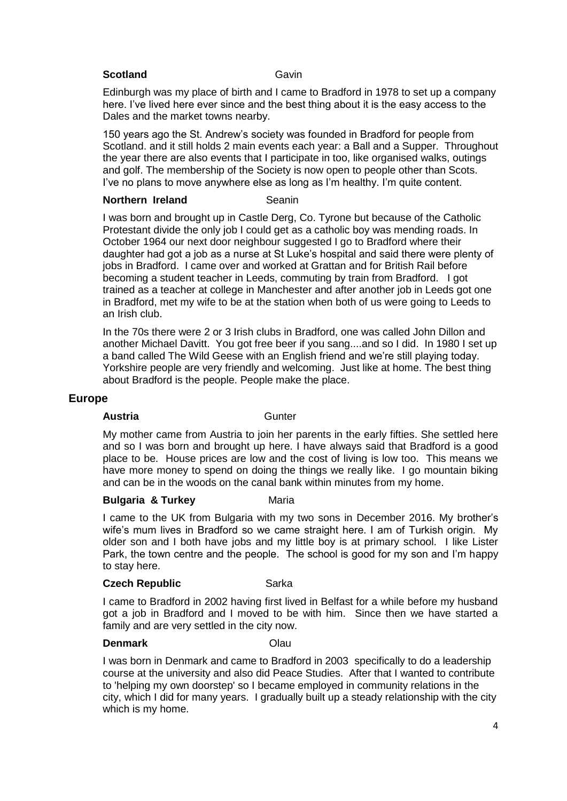### **Scotland Cavin**

Edinburgh was my place of birth and I came to Bradford in 1978 to set up a company here. I've lived here ever since and the best thing about it is the easy access to the Dales and the market towns nearby.

150 years ago the St. Andrew's society was founded in Bradford for people from Scotland. and it still holds 2 main events each year: a Ball and a Supper. Throughout the year there are also events that I participate in too, like organised walks, outings and golf. The membership of the Society is now open to people other than Scots. I've no plans to move anywhere else as long as I'm healthy. I'm quite content.

### **Northern Ireland Seanin**

I was born and brought up in Castle Derg, Co. Tyrone but because of the Catholic Protestant divide the only job I could get as a catholic boy was mending roads. In October 1964 our next door neighbour suggested I go to Bradford where their daughter had got a job as a nurse at St Luke's hospital and said there were plenty of jobs in Bradford. I came over and worked at Grattan and for British Rail before becoming a student teacher in Leeds, commuting by train from Bradford. I got trained as a teacher at college in Manchester and after another job in Leeds got one in Bradford, met my wife to be at the station when both of us were going to Leeds to an Irish club.

In the 70s there were 2 or 3 Irish clubs in Bradford, one was called John Dillon and another Michael Davitt. You got free beer if you sang....and so I did. In 1980 I set up a band called The Wild Geese with an English friend and we're still playing today. Yorkshire people are very friendly and welcoming. Just like at home. The best thing about Bradford is the people. People make the place.

# **Europe**

### Austria **Caustria Gunter**

My mother came from Austria to join her parents in the early fifties. She settled here and so I was born and brought up here. I have always said that Bradford is a good place to be. House prices are low and the cost of living is low too. This means we have more money to spend on doing the things we really like. I go mountain biking and can be in the woods on the canal bank within minutes from my home.

# **Bulgaria & Turkey Maria**

I came to the UK from Bulgaria with my two sons in December 2016. My brother's wife's mum lives in Bradford so we came straight here. I am of Turkish origin. My older son and I both have jobs and my little boy is at primary school. I like Lister Park, the town centre and the people. The school is good for my son and I'm happy to stay here.

### **Czech Republic Czech Republic Czech Republic Czech Sarka**

I came to Bradford in 2002 having first lived in Belfast for a while before my husband got a job in Bradford and I moved to be with him. Since then we have started a family and are very settled in the city now.

### **Denmark** Olau

I was born in Denmark and came to Bradford in 2003 specifically to do a leadership course at the university and also did Peace Studies. After that I wanted to contribute to 'helping my own doorstep' so I became employed in community relations in the city, which I did for many years. I gradually built up a steady relationship with the city which is my home.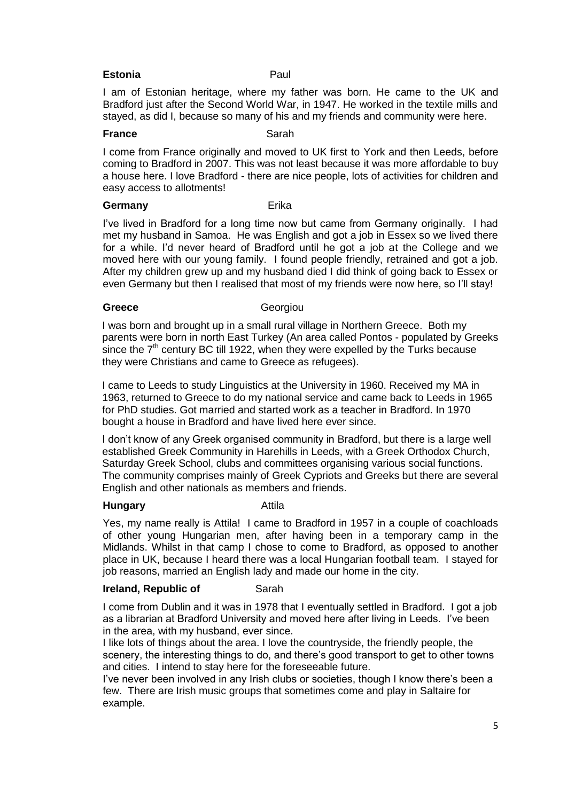### **Estonia Paul**

I am of Estonian heritage, where my father was born. He came to the UK and Bradford just after the Second World War, in 1947. He worked in the textile mills and stayed, as did I, because so many of his and my friends and community were here.

#### **France** Sarah

I come from France originally and moved to UK first to York and then Leeds, before coming to Bradford in 2007. This was not least because it was more affordable to buy a house here. I love Bradford - there are nice people, lots of activities for children and easy access to allotments!

#### **Germany** Erika

I've lived in Bradford for a long time now but came from Germany originally. I had met my husband in Samoa. He was English and got a job in Essex so we lived there for a while. I'd never heard of Bradford until he got a job at the College and we moved here with our young family. I found people friendly, retrained and got a job. After my children grew up and my husband died I did think of going back to Essex or even Germany but then I realised that most of my friends were now here, so I'll stay!

### Greece **Georgiou**

I was born and brought up in a small rural village in Northern Greece. Both my parents were born in north East Turkey (An area called Pontos - populated by Greeks since the  $7<sup>th</sup>$  century BC till 1922, when they were expelled by the Turks because they were Christians and came to Greece as refugees).

I came to Leeds to study Linguistics at the University in 1960. Received my MA in 1963, returned to Greece to do my national service and came back to Leeds in 1965 for PhD studies. Got married and started work as a teacher in Bradford. In 1970 bought a house in Bradford and have lived here ever since.

I don't know of any Greek organised community in Bradford, but there is a large well established Greek Community in Harehills in Leeds, with a Greek Orthodox Church, Saturday Greek School, clubs and committees organising various social functions. The community comprises mainly of Greek Cypriots and Greeks but there are several English and other nationals as members and friends.

### **Hungary Attila**

Yes, my name really is Attila! I came to Bradford in 1957 in a couple of coachloads of other young Hungarian men, after having been in a temporary camp in the Midlands. Whilst in that camp I chose to come to Bradford, as opposed to another place in UK, because I heard there was a local Hungarian football team. I stayed for job reasons, married an English lady and made our home in the city.

### **Ireland, Republic of Sarah**

I come from Dublin and it was in 1978 that I eventually settled in Bradford. I got a job as a librarian at Bradford University and moved here after living in Leeds. I've been in the area, with my husband, ever since.

I like lots of things about the area. I love the countryside, the friendly people, the scenery, the interesting things to do, and there's good transport to get to other towns and cities. I intend to stay here for the foreseeable future.

I've never been involved in any Irish clubs or societies, though I know there's been a few. There are Irish music groups that sometimes come and play in Saltaire for example.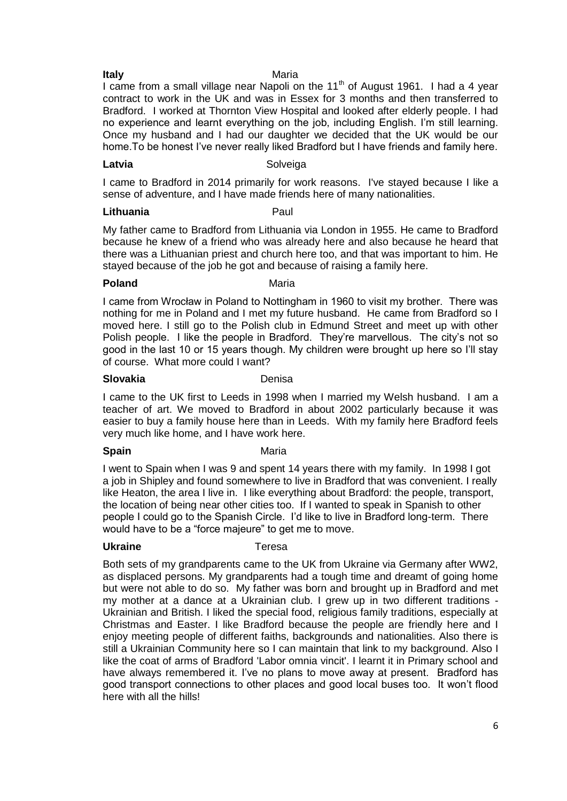#### **Italy Maria**

I came from a small village near Napoli on the 11<sup>th</sup> of August 1961. I had a 4 year contract to work in the UK and was in Essex for 3 months and then transferred to Bradford. I worked at Thornton View Hospital and looked after elderly people. I had no experience and learnt everything on the job, including English. I'm still learning. Once my husband and I had our daughter we decided that the UK would be our home.To be honest I've never really liked Bradford but I have friends and family here.

#### Latvia **Contract Contract Contract Contract Contract Contract Contract Contract Contract Contract Contract Contract Contract Contract Contract Contract Contract Contract Contract Contract Contract Contract Contract Contrac**

I came to Bradford in 2014 primarily for work reasons. I've stayed because I like a sense of adventure, and I have made friends here of many nationalities.

#### **Lithuania** Paul

My father came to Bradford from Lithuania via London in 1955. He came to Bradford because he knew of a friend who was already here and also because he heard that there was a Lithuanian priest and church here too, and that was important to him. He stayed because of the job he got and because of raising a family here.

### **Poland** Maria

I came from Wrocław in Poland to Nottingham in 1960 to visit my brother. There was nothing for me in Poland and I met my future husband. He came from Bradford so I moved here. I still go to the Polish club in Edmund Street and meet up with other Polish people. I like the people in Bradford. They're marvellous. The city's not so good in the last 10 or 15 years though. My children were brought up here so I'll stay of course. What more could I want?

#### **Slovakia Denisa**

I came to the UK first to Leeds in 1998 when I married my Welsh husband. I am a teacher of art. We moved to Bradford in about 2002 particularly because it was easier to buy a family house here than in Leeds. With my family here Bradford feels very much like home, and I have work here.

### **Spain** Maria

I went to Spain when I was 9 and spent 14 years there with my family. In 1998 I got a job in Shipley and found somewhere to live in Bradford that was convenient. I really like Heaton, the area I live in. I like everything about Bradford: the people, transport, the location of being near other cities too. If I wanted to speak in Spanish to other people I could go to the Spanish Circle. I'd like to live in Bradford long-term. There would have to be a "force majeure" to get me to move.

### **Ukraine** Teresa

Both sets of my grandparents came to the UK from Ukraine via Germany after WW2, as displaced persons. My grandparents had a tough time and dreamt of going home but were not able to do so. My father was born and brought up in Bradford and met my mother at a dance at a Ukrainian club. I grew up in two different traditions - Ukrainian and British. I liked the special food, religious family traditions, especially at Christmas and Easter. I like Bradford because the people are friendly here and I enjoy meeting people of different faiths, backgrounds and nationalities. Also there is still a Ukrainian Community here so I can maintain that link to my background. Also I like the coat of arms of Bradford 'Labor omnia vincit'. I learnt it in Primary school and have always remembered it. I've no plans to move away at present. Bradford has good transport connections to other places and good local buses too. It won't flood here with all the hills!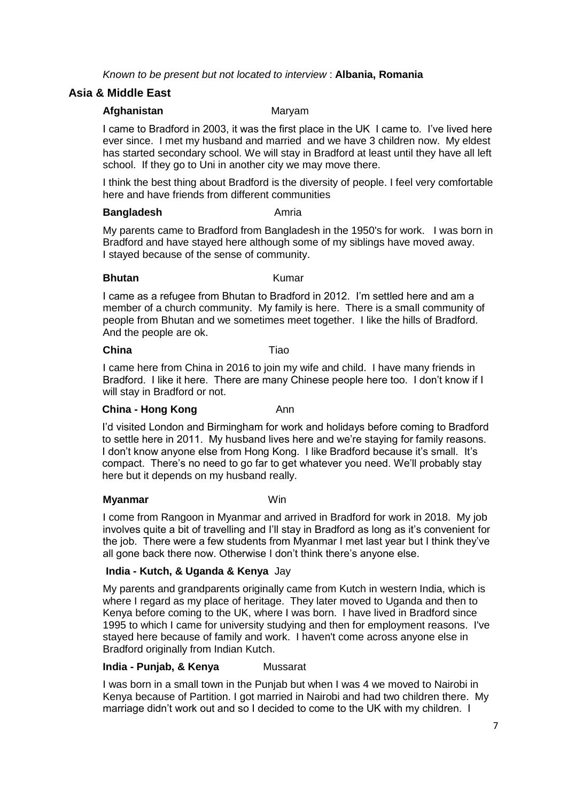*Known to be present but not located to interview* : **Albania, Romania** 

# **Asia & Middle East**

### **Afghanistan** Maryam

I came to Bradford in 2003, it was the first place in the UK I came to. I've lived here ever since. I met my husband and married and we have 3 children now. My eldest has started secondary school. We will stay in Bradford at least until they have all left school. If they go to Uni in another city we may move there.

I think the best thing about Bradford is the diversity of people. I feel very comfortable here and have friends from different communities

### **Bangladesh** Amria

My parents came to Bradford from Bangladesh in the 1950's for work. I was born in Bradford and have stayed here although some of my siblings have moved away. I stayed because of the sense of community.

### **Bhutan** Kumar

I came as a refugee from Bhutan to Bradford in 2012. I'm settled here and am a member of a church community. My family is here. There is a small community of people from Bhutan and we sometimes meet together. I like the hills of Bradford. And the people are ok.

### **China** Tiao

I came here from China in 2016 to join my wife and child. I have many friends in Bradford. I like it here. There are many Chinese people here too. I don't know if I will stay in Bradford or not.

# **China - Hong Kong Ann**

I'd visited London and Birmingham for work and holidays before coming to Bradford to settle here in 2011. My husband lives here and we're staying for family reasons. I don't know anyone else from Hong Kong. I like Bradford because it's small. It's compact. There's no need to go far to get whatever you need. We'll probably stay here but it depends on my husband really.

# **Myanmar** Win

I come from Rangoon in Myanmar and arrived in Bradford for work in 2018. My job involves quite a bit of travelling and I'll stay in Bradford as long as it's convenient for the job. There were a few students from Myanmar I met last year but I think they've all gone back there now. Otherwise I don't think there's anyone else.

# **India - Kutch, & Uganda & Kenya** Jay

My parents and grandparents originally came from Kutch in western India, which is where I regard as my place of heritage. They later moved to Uganda and then to Kenya before coming to the UK, where I was born. I have lived in Bradford since 1995 to which I came for university studying and then for employment reasons. I've stayed here because of family and work. I haven't come across anyone else in Bradford originally from Indian Kutch.

# **India - Punjab, & Kenya** Mussarat

I was born in a small town in the Punjab but when I was 4 we moved to Nairobi in Kenya because of Partition. I got married in Nairobi and had two children there. My marriage didn't work out and so I decided to come to the UK with my children. I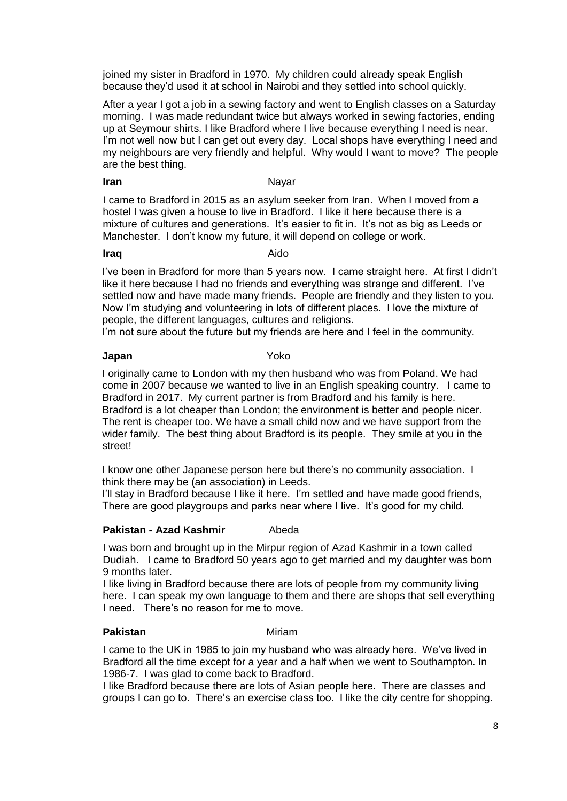joined my sister in Bradford in 1970. My children could already speak English because they'd used it at school in Nairobi and they settled into school quickly.

After a year I got a job in a sewing factory and went to English classes on a Saturday morning. I was made redundant twice but always worked in sewing factories, ending up at Seymour shirts. I like Bradford where I live because everything I need is near. I'm not well now but I can get out every day. Local shops have everything I need and my neighbours are very friendly and helpful. Why would I want to move? The people are the best thing.

### **Iran** Nayar

I came to Bradford in 2015 as an asylum seeker from Iran. When I moved from a hostel I was given a house to live in Bradford. I like it here because there is a mixture of cultures and generations. It's easier to fit in. It's not as big as Leeds or Manchester. I don't know my future, it will depend on college or work.

**Iraq** Aido

I've been in Bradford for more than 5 years now. I came straight here. At first I didn't like it here because I had no friends and everything was strange and different. I've settled now and have made many friends. People are friendly and they listen to you. Now I'm studying and volunteering in lots of different places. I love the mixture of people, the different languages, cultures and religions.

I'm not sure about the future but my friends are here and I feel in the community.

### **Japan** Yoko

I originally came to London with my then husband who was from Poland. We had come in 2007 because we wanted to live in an English speaking country. I came to Bradford in 2017. My current partner is from Bradford and his family is here. Bradford is a lot cheaper than London; the environment is better and people nicer. The rent is cheaper too. We have a small child now and we have support from the wider family. The best thing about Bradford is its people. They smile at you in the street!

I know one other Japanese person here but there's no community association. I think there may be (an association) in Leeds.

I'll stay in Bradford because I like it here. I'm settled and have made good friends, There are good playgroups and parks near where I live. It's good for my child.

# **Pakistan - Azad Kashmir** Abeda

I was born and brought up in the Mirpur region of Azad Kashmir in a town called Dudiah. I came to Bradford 50 years ago to get married and my daughter was born 9 months later.

I like living in Bradford because there are lots of people from my community living here. I can speak my own language to them and there are shops that sell everything I need. There's no reason for me to move.

# **Pakistan Miriam**

I came to the UK in 1985 to join my husband who was already here. We've lived in Bradford all the time except for a year and a half when we went to Southampton. In 1986-7. I was glad to come back to Bradford.

I like Bradford because there are lots of Asian people here. There are classes and groups I can go to. There's an exercise class too. I like the city centre for shopping.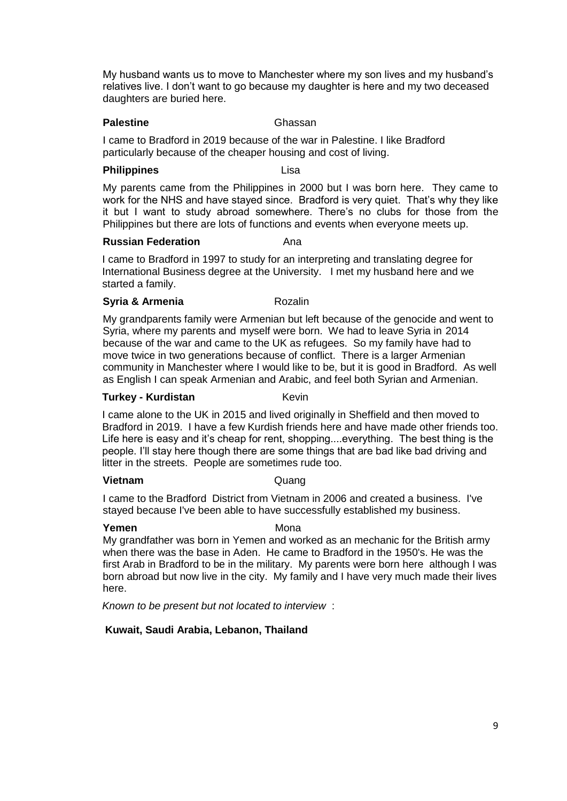My husband wants us to move to Manchester where my son lives and my husband's relatives live. I don't want to go because my daughter is here and my two deceased daughters are buried here.

### **Palestine** Ghassan

I came to Bradford in 2019 because of the war in Palestine. I like Bradford particularly because of the cheaper housing and cost of living.

#### **Philippines** Lisa

My parents came from the Philippines in 2000 but I was born here. They came to work for the NHS and have stayed since. Bradford is very quiet. That's why they like it but I want to study abroad somewhere. There's no clubs for those from the Philippines but there are lots of functions and events when everyone meets up.

#### **Russian Federation Ana**

I came to Bradford in 1997 to study for an interpreting and translating degree for International Business degree at the University. I met my husband here and we started a family.

### **Syria & Armenia** Rozalin

My grandparents family were Armenian but left because of the genocide and went to Syria, where my parents and myself were born. We had to leave Syria in 2014 because of the war and came to the UK as refugees. So my family have had to move twice in two generations because of conflict. There is a larger Armenian community in Manchester where I would like to be, but it is good in Bradford. As well as English I can speak Armenian and Arabic, and feel both Syrian and Armenian.

### **Turkey - Kurdistan Manuel Reving Keving**

I came alone to the UK in 2015 and lived originally in Sheffield and then moved to Bradford in 2019. I have a few Kurdish friends here and have made other friends too. Life here is easy and it's cheap for rent, shopping....everything. The best thing is the people. I'll stay here though there are some things that are bad like bad driving and litter in the streets. People are sometimes rude too.

### **Vietnam** Quang

I came to the Bradford District from Vietnam in 2006 and created a business. I've stayed because I've been able to have successfully established my business.

### **Yemen** Mona

My grandfather was born in Yemen and worked as an mechanic for the British army when there was the base in Aden. He came to Bradford in the 1950's. He was the first Arab in Bradford to be in the military. My parents were born here although I was born abroad but now live in the city. My family and I have very much made their lives here.

*Known to be present but not located to interview* :

# **Kuwait, Saudi Arabia, Lebanon, Thailand**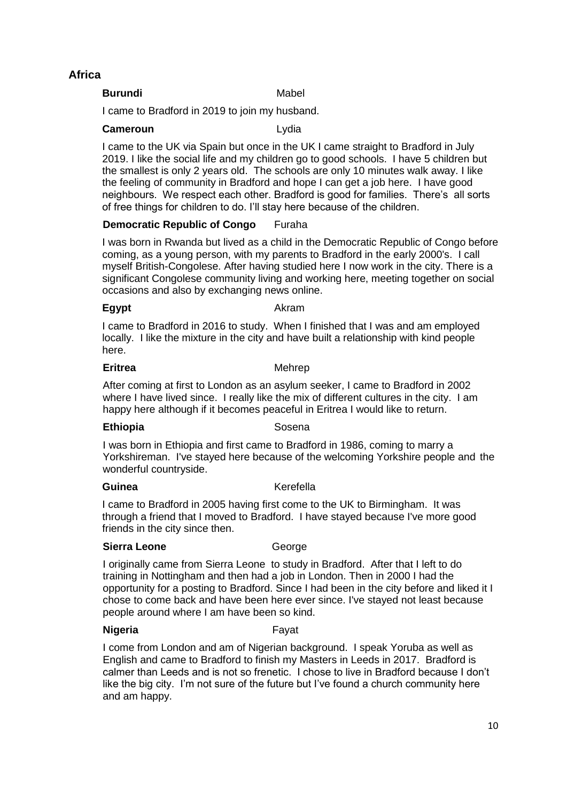# **Africa**

**Burundi** Mabel

I came to Bradford in 2019 to join my husband.

### **Cameroun** Lydia

I came to the UK via Spain but once in the UK I came straight to Bradford in July 2019. I like the social life and my children go to good schools. I have 5 children but the smallest is only 2 years old. The schools are only 10 minutes walk away. I like the feeling of community in Bradford and hope I can get a job here. I have good neighbours. We respect each other. Bradford is good for families. There's all sorts of free things for children to do. I'll stay here because of the children.

# **Democratic Republic of Congo** Furaha

I was born in Rwanda but lived as a child in the Democratic Republic of Congo before coming, as a young person, with my parents to Bradford in the early 2000's. I call myself British-Congolese. After having studied here I now work in the city. There is a significant Congolese community living and working here, meeting together on social occasions and also by exchanging news online.

**Egypt** Akram

I came to Bradford in 2016 to study. When I finished that I was and am employed locally. I like the mixture in the city and have built a relationship with kind people here.

## **Eritrea** Mehrep

After coming at first to London as an asylum seeker, I came to Bradford in 2002 where I have lived since. I really like the mix of different cultures in the city. I am happy here although if it becomes peaceful in Eritrea I would like to return.

# **Ethiopia** Sosena

I was born in Ethiopia and first came to Bradford in 1986, coming to marry a Yorkshireman. I've stayed here because of the welcoming Yorkshire people and the wonderful countryside.

**Guinea** Kerefella

I came to Bradford in 2005 having first come to the UK to Birmingham. It was through a friend that I moved to Bradford. I have stayed because I've more good friends in the city since then.

# **Sierra Leone George**

I originally came from Sierra Leone to study in Bradford. After that I left to do training in Nottingham and then had a job in London. Then in 2000 I had the opportunity for a posting to Bradford. Since I had been in the city before and liked it I chose to come back and have been here ever since. I've stayed not least because people around where I am have been so kind.

# **Nigeria Fayat**

I come from London and am of Nigerian background. I speak Yoruba as well as English and came to Bradford to finish my Masters in Leeds in 2017. Bradford is calmer than Leeds and is not so frenetic. I chose to live in Bradford because I don't like the big city. I'm not sure of the future but I've found a church community here and am happy.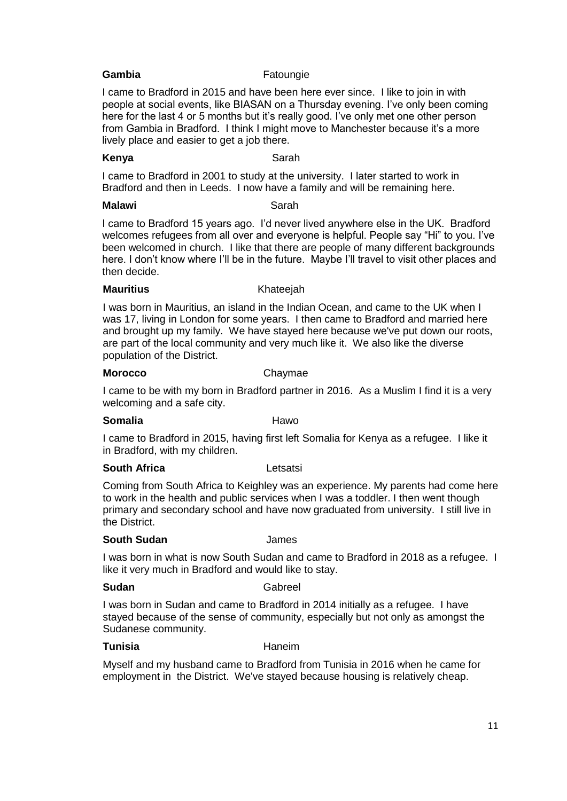### **Gambia** Fatoungie

I came to Bradford in 2015 and have been here ever since. I like to join in with people at social events, like BIASAN on a Thursday evening. I've only been coming here for the last 4 or 5 months but it's really good. I've only met one other person from Gambia in Bradford. I think I might move to Manchester because it's a more lively place and easier to get a job there.

### **Kenya** Sarah

I came to Bradford in 2001 to study at the university. I later started to work in Bradford and then in Leeds. I now have a family and will be remaining here.

### **Malawi** Sarah

I came to Bradford 15 years ago. I'd never lived anywhere else in the UK. Bradford welcomes refugees from all over and everyone is helpful. People say "Hi" to you. I've been welcomed in church. I like that there are people of many different backgrounds here. I don't know where I'll be in the future. Maybe I'll travel to visit other places and then decide.

### **Mauritius** Khateejah

I was born in Mauritius, an island in the Indian Ocean, and came to the UK when I was 17, living in London for some years. I then came to Bradford and married here and brought up my family. We have stayed here because we've put down our roots, are part of the local community and very much like it. We also like the diverse population of the District.

#### **Morocco** Chaymae

I came to be with my born in Bradford partner in 2016. As a Muslim I find it is a very welcoming and a safe city.

### **Somalia Hawo**

I came to Bradford in 2015, having first left Somalia for Kenya as a refugee. I like it in Bradford, with my children.

### **South Africa** Letsatsi

Coming from South Africa to Keighley was an experience. My parents had come here to work in the health and public services when I was a toddler. I then went though primary and secondary school and have now graduated from university. I still live in the District.

### **South Sudan** James

I was born in what is now South Sudan and came to Bradford in 2018 as a refugee. I like it very much in Bradford and would like to stay.

### **Sudan** Gabreel

I was born in Sudan and came to Bradford in 2014 initially as a refugee. I have stayed because of the sense of community, especially but not only as amongst the Sudanese community.

### **Tunisia** Haneim

Myself and my husband came to Bradford from Tunisia in 2016 when he came for employment in the District. We've stayed because housing is relatively cheap.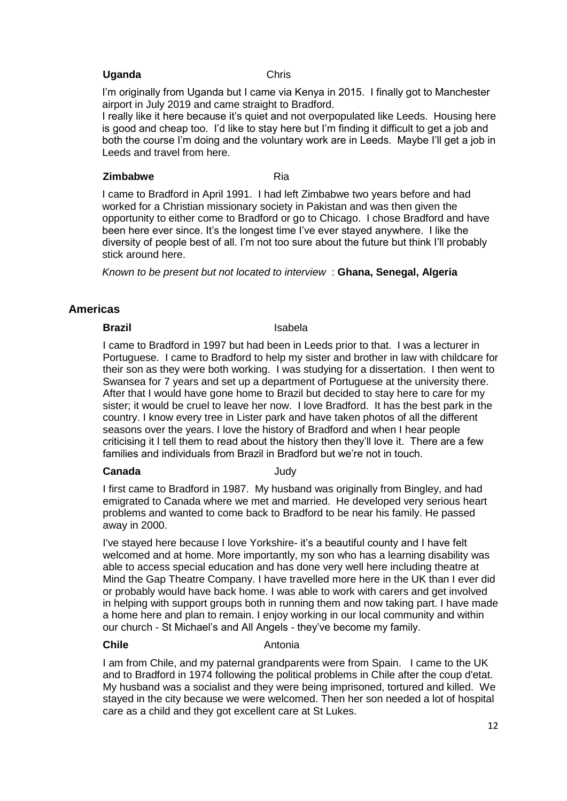### **Uganda** Chris

I'm originally from Uganda but I came via Kenya in 2015. I finally got to Manchester airport in July 2019 and came straight to Bradford.

I really like it here because it's quiet and not overpopulated like Leeds. Housing here is good and cheap too. I'd like to stay here but I'm finding it difficult to get a job and both the course I'm doing and the voluntary work are in Leeds. Maybe I'll get a job in Leeds and travel from here.

#### **Zimbabwe** Ria

I came to Bradford in April 1991. I had left Zimbabwe two years before and had worked for a Christian missionary society in Pakistan and was then given the opportunity to either come to Bradford or go to Chicago. I chose Bradford and have been here ever since. It's the longest time I've ever stayed anywhere. I like the diversity of people best of all. I'm not too sure about the future but think I'll probably stick around here.

*Known to be present but not located to interview* : **Ghana, Senegal, Algeria**

# **Americas**

#### **Brazil** Isabela

I came to Bradford in 1997 but had been in Leeds prior to that. I was a lecturer in Portuguese. I came to Bradford to help my sister and brother in law with childcare for their son as they were both working. I was studying for a dissertation. I then went to Swansea for 7 years and set up a department of Portuguese at the university there. After that I would have gone home to Brazil but decided to stay here to care for my sister; it would be cruel to leave her now. I love Bradford. It has the best park in the country. I know every tree in Lister park and have taken photos of all the different seasons over the years. I love the history of Bradford and when I hear people criticising it I tell them to read about the history then they'll love it. There are a few families and individuals from Brazil in Bradford but we're not in touch.

### **Canada** Judy

I first came to Bradford in 1987. My husband was originally from Bingley, and had emigrated to Canada where we met and married. He developed very serious heart problems and wanted to come back to Bradford to be near his family. He passed away in 2000.

I've stayed here because I love Yorkshire- it's a beautiful county and I have felt welcomed and at home. More importantly, my son who has a learning disability was able to access special education and has done very well here including theatre at Mind the Gap Theatre Company. I have travelled more here in the UK than I ever did or probably would have back home. I was able to work with carers and get involved in helping with support groups both in running them and now taking part. I have made a home here and plan to remain. I enjoy working in our local community and within our church - St Michael's and All Angels - they've become my family.

#### **Chile Antonia**

I am from Chile, and my paternal grandparents were from Spain. I came to the UK and to Bradford in 1974 following the political problems in Chile after the coup d'etat. My husband was a socialist and they were being imprisoned, tortured and killed. We stayed in the city because we were welcomed. Then her son needed a lot of hospital care as a child and they got excellent care at St Lukes.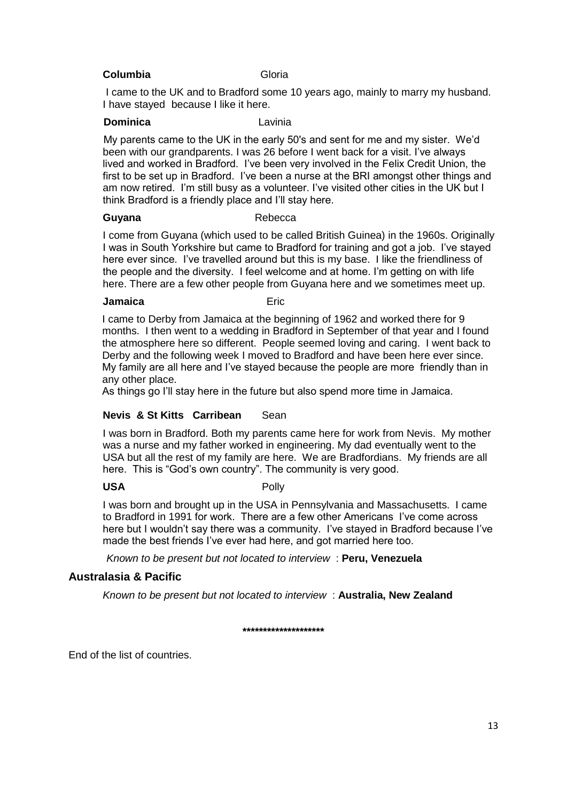### **Columbia Gloria**

I came to the UK and to Bradford some 10 years ago, mainly to marry my husband. I have stayed because I like it here.

### **Dominica** Lavinia

My parents came to the UK in the early 50's and sent for me and my sister. We'd been with our grandparents. I was 26 before I went back for a visit. I've always lived and worked in Bradford. I've been very involved in the Felix Credit Union, the first to be set up in Bradford. I've been a nurse at the BRI amongst other things and am now retired. I'm still busy as a volunteer. I've visited other cities in the UK but I think Bradford is a friendly place and I'll stay here.

### Guyana **Buyana** Rebecca

I come from Guyana (which used to be called British Guinea) in the 1960s. Originally I was in South Yorkshire but came to Bradford for training and got a job. I've stayed here ever since. I've travelled around but this is my base. I like the friendliness of the people and the diversity. I feel welcome and at home. I'm getting on with life here. There are a few other people from Guyana here and we sometimes meet up.

#### **Jamaica** Eric

I came to Derby from Jamaica at the beginning of 1962 and worked there for 9 months. I then went to a wedding in Bradford in September of that year and I found the atmosphere here so different. People seemed loving and caring. I went back to Derby and the following week I moved to Bradford and have been here ever since. My family are all here and I've stayed because the people are more friendly than in any other place.

As things go I'll stay here in the future but also spend more time in Jamaica.

# **Nevis & St Kitts Carribean** Sean

I was born in Bradford. Both my parents came here for work from Nevis. My mother was a nurse and my father worked in engineering. My dad eventually went to the USA but all the rest of my family are here. We are Bradfordians. My friends are all here. This is "God's own country". The community is very good.

# USA Polly

I was born and brought up in the USA in Pennsylvania and Massachusetts. I came to Bradford in 1991 for work. There are a few other Americans I've come across here but I wouldn't say there was a community. I've stayed in Bradford because I've made the best friends I've ever had here, and got married here too.

*Known to be present but not located to interview* : **Peru, Venezuela** 

# **Australasia & Pacific**

*Known to be present but not located to interview* : **Australia, New Zealand**

### **\*\*\*\*\*\*\*\*\*\*\*\*\*\*\*\*\*\*\*\***

End of the list of countries.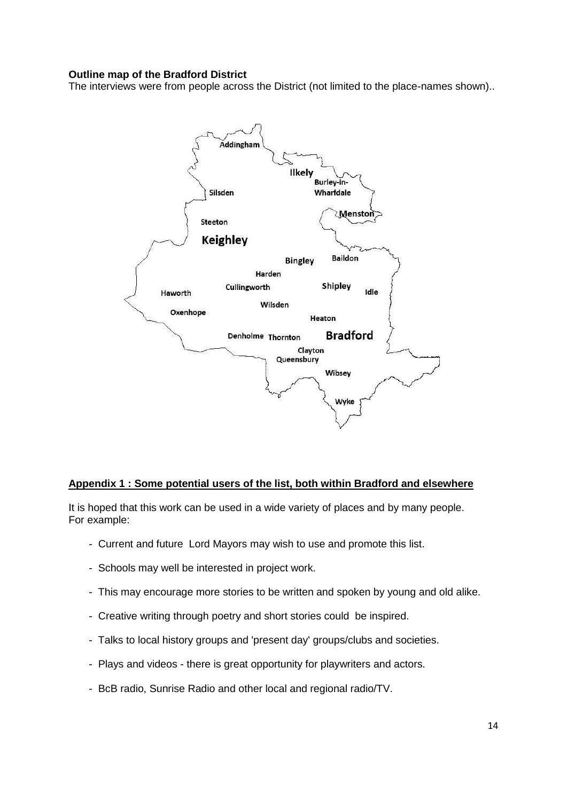### **Outline map of the Bradford District**

The interviews were from people across the District (not limited to the place-names shown)..



### **Appendix 1 : Some potential users of the list, both within Bradford and elsewhere**

It is hoped that this work can be used in a wide variety of places and by many people. For example:

- Current and future Lord Mayors may wish to use and promote this list.
- Schools may well be interested in project work.
- This may encourage more stories to be written and spoken by young and old alike.
- Creative writing through poetry and short stories could be inspired.
- Talks to local history groups and 'present day' groups/clubs and societies.
- Plays and videos there is great opportunity for playwriters and actors.
- BcB radio, Sunrise Radio and other local and regional radio/TV.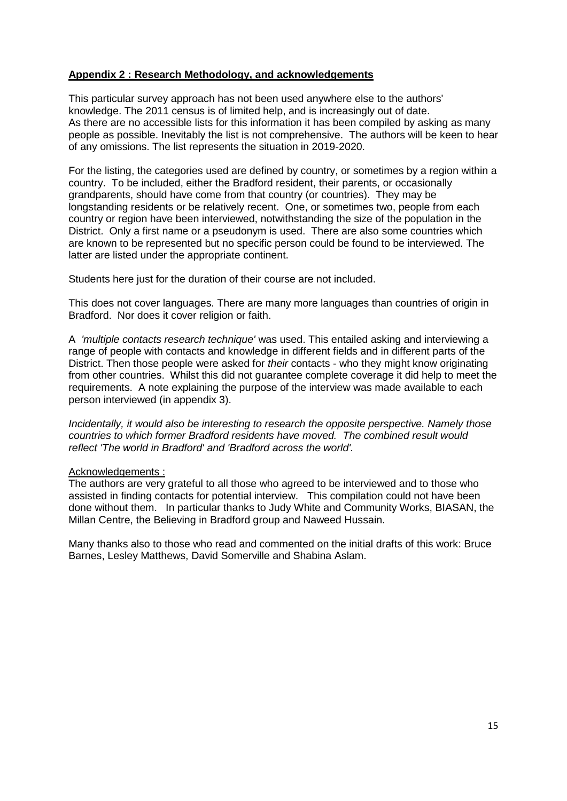# **Appendix 2 : Research Methodology, and acknowledgements**

This particular survey approach has not been used anywhere else to the authors' knowledge. The 2011 census is of limited help, and is increasingly out of date. As there are no accessible lists for this information it has been compiled by asking as many people as possible. Inevitably the list is not comprehensive. The authors will be keen to hear of any omissions. The list represents the situation in 2019-2020.

For the listing, the categories used are defined by country, or sometimes by a region within a country. To be included, either the Bradford resident, their parents, or occasionally grandparents, should have come from that country (or countries). They may be longstanding residents or be relatively recent. One, or sometimes two, people from each country or region have been interviewed, notwithstanding the size of the population in the District. Only a first name or a pseudonym is used. There are also some countries which are known to be represented but no specific person could be found to be interviewed. The latter are listed under the appropriate continent.

Students here just for the duration of their course are not included.

This does not cover languages. There are many more languages than countries of origin in Bradford. Nor does it cover religion or faith.

A *'multiple contacts research technique'* was used. This entailed asking and interviewing a range of people with contacts and knowledge in different fields and in different parts of the District. Then those people were asked for *their* contacts - who they might know originating from other countries. Whilst this did not guarantee complete coverage it did help to meet the requirements. A note explaining the purpose of the interview was made available to each person interviewed (in appendix 3).

*Incidentally, it would also be interesting to research the opposite perspective. Namely those countries to which former Bradford residents have moved. The combined result would reflect 'The world in Bradford' and 'Bradford across the world'.* 

# Acknowledgements :

The authors are very grateful to all those who agreed to be interviewed and to those who assisted in finding contacts for potential interview. This compilation could not have been done without them. In particular thanks to Judy White and Community Works, BIASAN, the Millan Centre, the Believing in Bradford group and Naweed Hussain.

Many thanks also to those who read and commented on the initial drafts of this work: Bruce Barnes, Lesley Matthews, David Somerville and Shabina Aslam.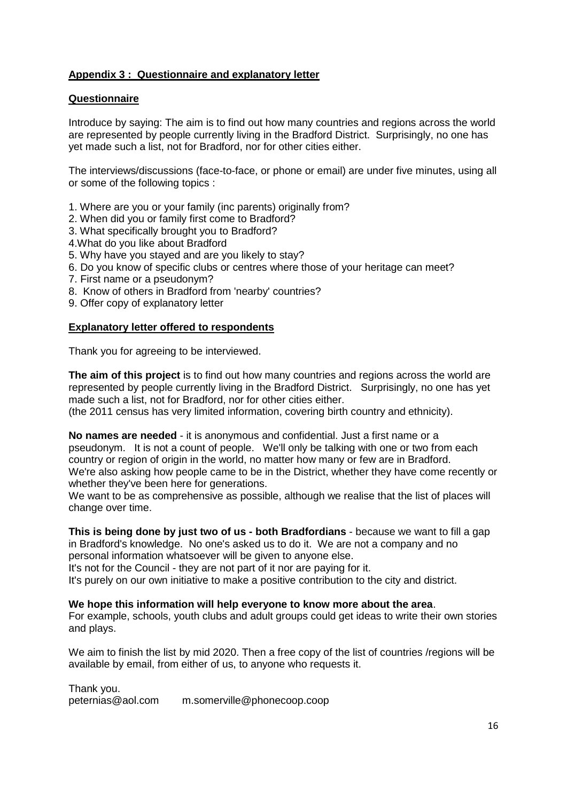# **Appendix 3 : Questionnaire and explanatory letter**

# **Questionnaire**

Introduce by saying: The aim is to find out how many countries and regions across the world are represented by people currently living in the Bradford District. Surprisingly, no one has yet made such a list, not for Bradford, nor for other cities either.

The interviews/discussions (face-to-face, or phone or email) are under five minutes, using all or some of the following topics :

- 1. Where are you or your family (inc parents) originally from?
- 2. When did you or family first come to Bradford?
- 3. What specifically brought you to Bradford?
- 4.What do you like about Bradford
- 5. Why have you stayed and are you likely to stay?
- 6. Do you know of specific clubs or centres where those of your heritage can meet?
- 7. First name or a pseudonym?
- 8. Know of others in Bradford from 'nearby' countries?
- 9. Offer copy of explanatory letter

### **Explanatory letter offered to respondents**

Thank you for agreeing to be interviewed.

**The aim of this project** is to find out how many countries and regions across the world are represented by people currently living in the Bradford District. Surprisingly, no one has yet made such a list, not for Bradford, nor for other cities either.

(the 2011 census has very limited information, covering birth country and ethnicity).

**No names are needed** - it is anonymous and confidential. Just a first name or a pseudonym. It is not a count of people. We'll only be talking with one or two from each country or region of origin in the world, no matter how many or few are in Bradford. We're also asking how people came to be in the District, whether they have come recently or whether they've been here for generations.

We want to be as comprehensive as possible, although we realise that the list of places will change over time.

**This is being done by just two of us - both Bradfordians** - because we want to fill a gap in Bradford's knowledge. No one's asked us to do it. We are not a company and no personal information whatsoever will be given to anyone else.

It's not for the Council - they are not part of it nor are paying for it.

It's purely on our own initiative to make a positive contribution to the city and district.

### **We hope this information will help everyone to know more about the area**.

For example, schools, youth clubs and adult groups could get ideas to write their own stories and plays.

We aim to finish the list by mid 2020. Then a free copy of the list of countries /regions will be available by email, from either of us, to anyone who requests it.

Thank you.<br>peternias@aol.com m.somerville@phonecoop.coop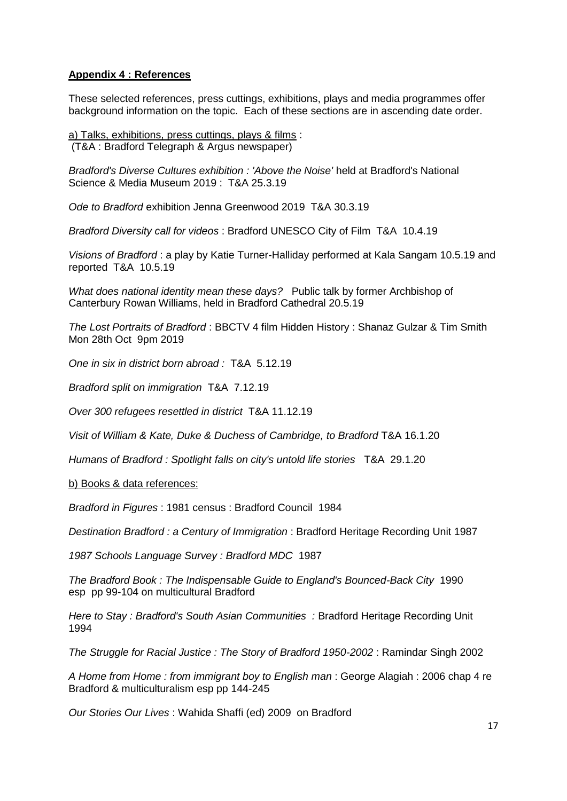# **Appendix 4 : References**

These selected references, press cuttings, exhibitions, plays and media programmes offer background information on the topic. Each of these sections are in ascending date order.

a) Talks, exhibitions, press cuttings, plays & films : (T&A : Bradford Telegraph & Argus newspaper)

*Bradford's Diverse Cultures exhibition : 'Above the Noise'* held at Bradford's National Science & Media Museum 2019 : T&A 25.3.19

*Ode to Bradford* exhibition Jenna Greenwood 2019 T&A 30.3.19

*Bradford Diversity call for videos* : Bradford UNESCO City of Film T&A 10.4.19

*Visions of Bradford* : a play by Katie Turner-Halliday performed at Kala Sangam 10.5.19 and reported T&A 10.5.19

*What does national identity mean these days?* Public talk by former Archbishop of Canterbury Rowan Williams, held in Bradford Cathedral 20.5.19

*The Lost Portraits of Bradford* : BBCTV 4 film Hidden History : Shanaz Gulzar & Tim Smith Mon 28th Oct 9pm 2019

*One in six in district born abroad :* T&A 5.12.19

*Bradford split on immigration* T&A 7.12.19

*Over 300 refugees resettled in district* T&A 11.12.19

*Visit of William & Kate, Duke & Duchess of Cambridge, to Bradford* T&A 16.1.20

*Humans of Bradford : Spotlight falls on city's untold life stories* T&A 29.1.20

b) Books & data references:

*Bradford in Figures* : 1981 census : Bradford Council 1984

*Destination Bradford : a Century of Immigration* : Bradford Heritage Recording Unit 1987

*1987 Schools Language Survey : Bradford MDC* 1987

*The Bradford Book : The Indispensable Guide to England's Bounced-Back City* 1990 esp pp 99-104 on multicultural Bradford

*Here to Stay : Bradford's South Asian Communities : Bradford Heritage Recording Unit* 1994

*The Struggle for Racial Justice : The Story of Bradford 1950-2002* : Ramindar Singh 2002

*A Home from Home : from immigrant boy to English man* : George Alagiah : 2006 chap 4 re Bradford & multiculturalism esp pp 144-245

*Our Stories Our Lives* : Wahida Shaffi (ed) 2009 on Bradford